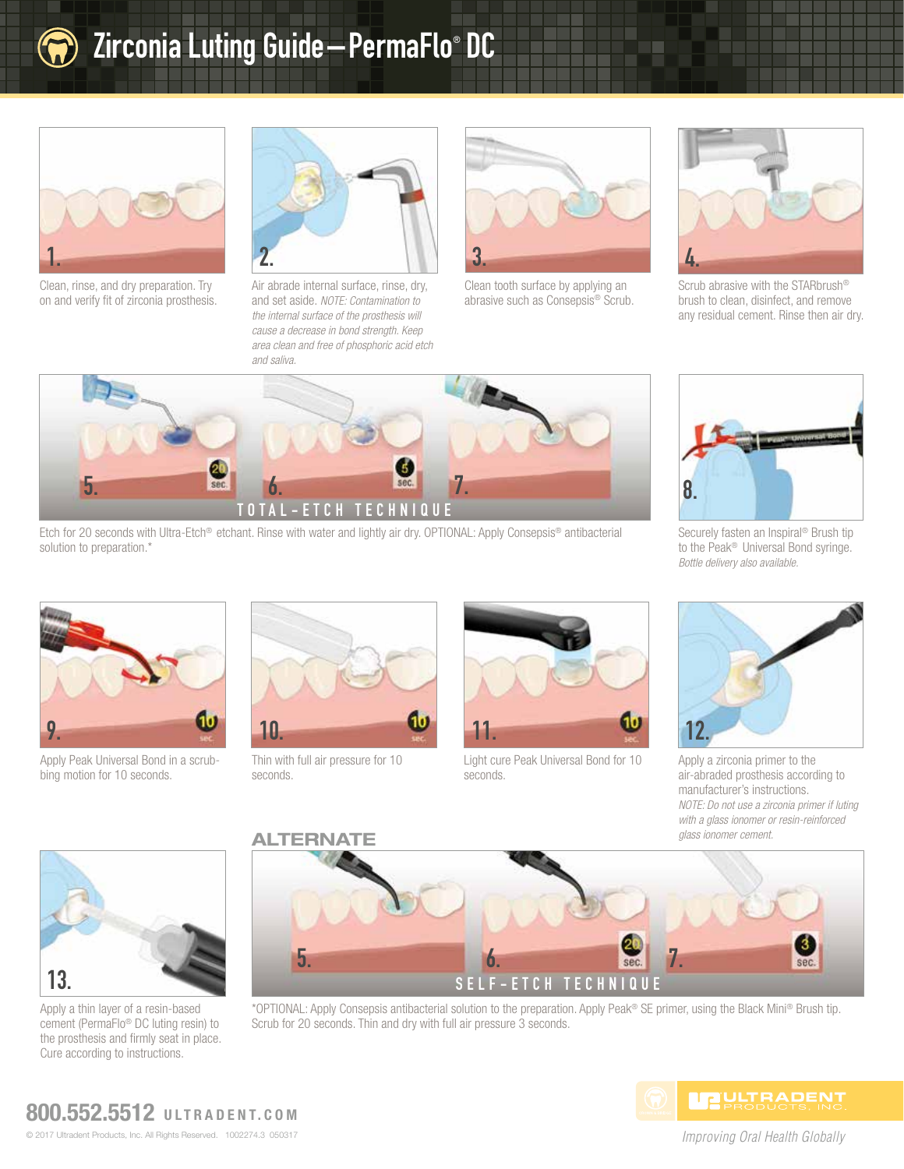

## Zirconia Luting Guide—PermaFlo® DC



Clean, rinse, and dry preparation. Try on and verify fit of zirconia prosthesis.



Air abrade internal surface, rinse, dry, and set aside. *NOTE: Contamination to the internal surface of the prosthesis will cause a decrease in bond strength. Keep area clean and free of phosphoric acid etch and saliva.*



Clean tooth surface by applying an abrasive such as Consepsis® Scrub.



Scrub abrasive with the STARbrush® brush to clean, disinfect, and remove any residual cement. Rinse then air dry.



Etch for 20 seconds with Ultra-Etch® etchant. Rinse with water and lightly air dry. OPTIONAL: Apply Consepsis® antibacterial solution to preparation.\*



Securely fasten an Inspiral® Brush tip to the Peak® Universal Bond syringe. *Bottle delivery also available.*



Apply Peak Universal Bond in a scrubbing motion for 10 seconds.



Thin with full air pressure for 10 seconds.



Light cure Peak Universal Bond for 10 seconds.



Apply a zirconia primer to the air-abraded prosthesis according to manufacturer's instructions. *NOTE: Do not use a zirconia primer if luting with a glass ionomer or resin-reinforced glass ionomer cement.*



Apply a thin layer of a resin-based cement (PermaFlo® DC luting resin) to the prosthesis and firmly seat in place. Cure according to instructions.



\*OPTIONAL: Apply Consepsis antibacterial solution to the preparation. Apply Peak® SE primer, using the Black Mini® Brush tip. Scrub for 20 seconds. Thin and dry with full air pressure 3 seconds.



*Improving Oral Health Globally*